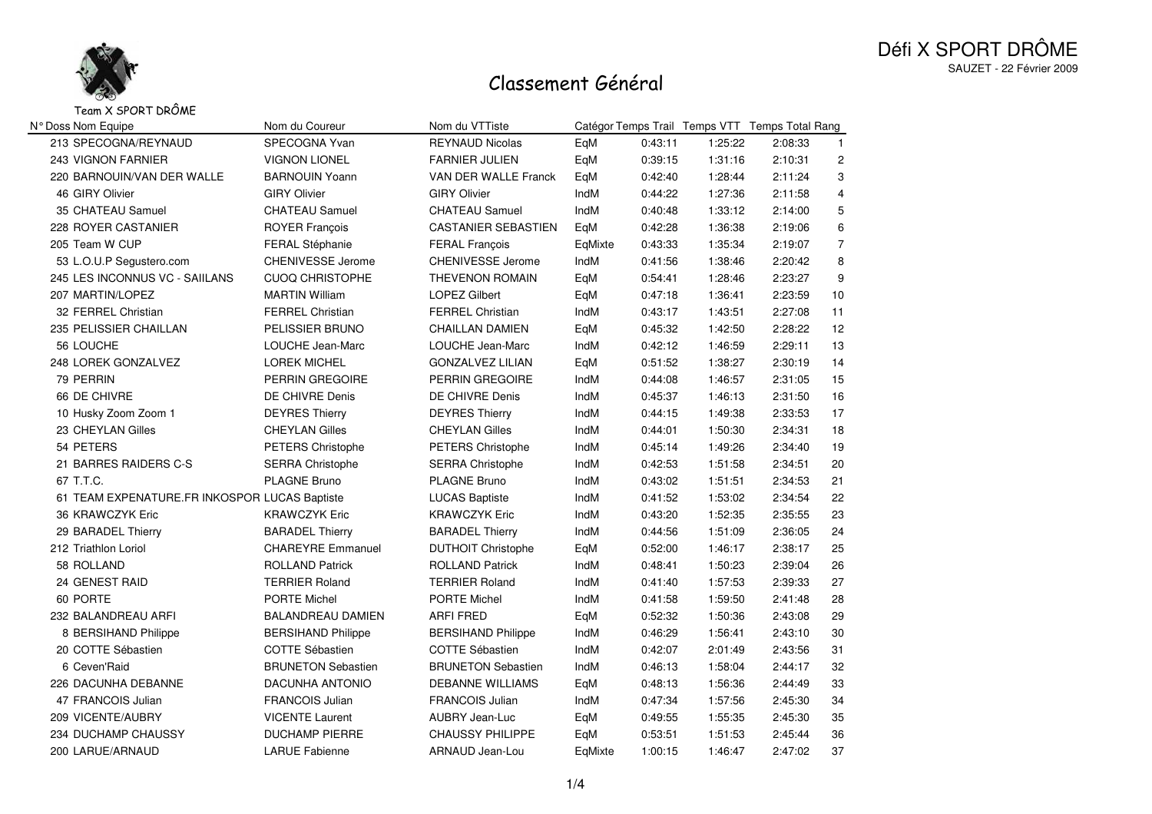

### Défi X SPORT DRÔMESAUZET - 22 Février 2009

## Classement Général

#### Team X SPORT DRÔME

| N° Doss Nom Equipe                            | Nom du Coureur            | Nom du VTTiste             |         |         |         | Catégor Temps Trail Temps VTT Temps Total Rang |                |
|-----------------------------------------------|---------------------------|----------------------------|---------|---------|---------|------------------------------------------------|----------------|
| 213 SPECOGNA/REYNAUD                          | SPECOGNA Yvan             | <b>REYNAUD Nicolas</b>     | EqM     | 0:43:11 | 1:25:22 | 2:08:33                                        | $\mathbf{1}$   |
| <b>243 VIGNON FARNIER</b>                     | <b>VIGNON LIONEL</b>      | <b>FARNIER JULIEN</b>      | EqM     | 0:39:15 | 1:31:16 | 2:10:31                                        | $\overline{c}$ |
| 220 BARNOUIN/VAN DER WALLE                    | <b>BARNOUIN Yoann</b>     | VAN DER WALLE Franck       | EqM     | 0:42:40 | 1:28:44 | 2:11:24                                        | 3              |
| 46 GIRY Olivier                               | <b>GIRY Olivier</b>       | <b>GIRY Olivier</b>        | IndM    | 0:44:22 | 1:27:36 | 2:11:58                                        | $\overline{4}$ |
| 35 CHATEAU Samuel                             | <b>CHATEAU Samuel</b>     | <b>CHATEAU Samuel</b>      | IndM    | 0:40:48 | 1:33:12 | 2:14:00                                        | 5              |
| 228 ROYER CASTANIER                           | <b>ROYER François</b>     | <b>CASTANIER SEBASTIEN</b> | EqM     | 0:42:28 | 1:36:38 | 2:19:06                                        | $\,6\,$        |
| 205 Team W CUP                                | <b>FERAL Stéphanie</b>    | <b>FERAL François</b>      | EqMixte | 0:43:33 | 1:35:34 | 2:19:07                                        | $\overline{7}$ |
| 53 L.O.U.P Segustero.com                      | <b>CHENIVESSE Jerome</b>  | <b>CHENIVESSE Jerome</b>   | IndM    | 0:41:56 | 1:38:46 | 2:20:42                                        | 8              |
| 245 LES INCONNUS VC - SAIILANS                | <b>CUOQ CHRISTOPHE</b>    | <b>THEVENON ROMAIN</b>     | EqM     | 0:54:41 | 1:28:46 | 2:23:27                                        | 9              |
| 207 MARTIN/LOPEZ                              | <b>MARTIN William</b>     | <b>LOPEZ Gilbert</b>       | EqM     | 0:47:18 | 1:36:41 | 2:23:59                                        | 10             |
| 32 FERREL Christian                           | FERREL Christian          | <b>FERREL Christian</b>    | IndM    | 0:43:17 | 1:43:51 | 2:27:08                                        | 11             |
| 235 PELISSIER CHAILLAN                        | PELISSIER BRUNO           | <b>CHAILLAN DAMIEN</b>     | EqM     | 0:45:32 | 1:42:50 | 2:28:22                                        | 12             |
| 56 LOUCHE                                     | LOUCHE Jean-Marc          | LOUCHE Jean-Marc           | IndM    | 0:42:12 | 1:46:59 | 2:29:11                                        | 13             |
| 248 LOREK GONZALVEZ                           | LOREK MICHEL              | <b>GONZALVEZ LILIAN</b>    | EqM     | 0:51:52 | 1:38:27 | 2:30:19                                        | 14             |
| 79 PERRIN                                     | PERRIN GREGOIRE           | PERRIN GREGOIRE            | IndM    | 0:44:08 | 1:46:57 | 2:31:05                                        | 15             |
| 66 DE CHIVRE                                  | DE CHIVRE Denis           | DE CHIVRE Denis            | IndM    | 0:45:37 | 1:46:13 | 2:31:50                                        | 16             |
| 10 Husky Zoom Zoom 1                          | <b>DEYRES Thierry</b>     | <b>DEYRES Thierry</b>      | IndM    | 0:44:15 | 1:49:38 | 2:33:53                                        | 17             |
| 23 CHEYLAN Gilles                             | <b>CHEYLAN Gilles</b>     | <b>CHEYLAN Gilles</b>      | IndM    | 0:44:01 | 1:50:30 | 2:34:31                                        | 18             |
| 54 PETERS                                     | PETERS Christophe         | PETERS Christophe          | IndM    | 0:45:14 | 1:49:26 | 2:34:40                                        | 19             |
| 21 BARRES RAIDERS C-S                         | <b>SERRA Christophe</b>   | <b>SERRA Christophe</b>    | IndM    | 0:42:53 | 1:51:58 | 2:34:51                                        | 20             |
| 67 T.T.C.                                     | <b>PLAGNE Bruno</b>       | <b>PLAGNE Bruno</b>        | IndM    | 0:43:02 | 1:51:51 | 2:34:53                                        | 21             |
| 61 TEAM EXPENATURE.FR INKOSPOR LUCAS Baptiste |                           | <b>LUCAS Baptiste</b>      | IndM    | 0:41:52 | 1:53:02 | 2:34:54                                        | 22             |
| 36 KRAWCZYK Eric                              | <b>KRAWCZYK Eric</b>      | <b>KRAWCZYK Eric</b>       | IndM    | 0:43:20 | 1:52:35 | 2:35:55                                        | 23             |
| 29 BARADEL Thierry                            | <b>BARADEL Thierry</b>    | <b>BARADEL Thierry</b>     | IndM    | 0:44:56 | 1:51:09 | 2:36:05                                        | 24             |
| 212 Triathlon Loriol                          | <b>CHAREYRE Emmanuel</b>  | <b>DUTHOIT Christophe</b>  | EqM     | 0:52:00 | 1:46:17 | 2:38:17                                        | 25             |
| 58 ROLLAND                                    | <b>ROLLAND Patrick</b>    | <b>ROLLAND Patrick</b>     | IndM    | 0:48:41 | 1:50:23 | 2:39:04                                        | 26             |
| 24 GENEST RAID                                | <b>TERRIER Roland</b>     | <b>TERRIER Roland</b>      | IndM    | 0:41:40 | 1:57:53 | 2:39:33                                        | 27             |
| 60 PORTE                                      | PORTE Michel              | PORTE Michel               | IndM    | 0:41:58 | 1:59:50 | 2:41:48                                        | 28             |
| 232 BALANDREAU ARFI                           | <b>BALANDREAU DAMIEN</b>  | ARFI FRED                  | EqM     | 0:52:32 | 1:50:36 | 2:43:08                                        | 29             |
| 8 BERSIHAND Philippe                          | <b>BERSIHAND Philippe</b> | <b>BERSIHAND Philippe</b>  | IndM    | 0:46:29 | 1:56:41 | 2:43:10                                        | 30             |
| 20 COTTE Sébastien                            | <b>COTTE Sébastien</b>    | <b>COTTE Sébastien</b>     | IndM    | 0:42:07 | 2:01:49 | 2:43:56                                        | 31             |
| 6 Ceven'Raid                                  | <b>BRUNETON Sebastien</b> | <b>BRUNETON Sebastien</b>  | IndM    | 0:46:13 | 1:58:04 | 2:44:17                                        | 32             |
| 226 DACUNHA DEBANNE                           | <b>DACUNHA ANTONIO</b>    | <b>DEBANNE WILLIAMS</b>    | EqM     | 0:48:13 | 1:56:36 | 2:44:49                                        | 33             |
| 47 FRANCOIS Julian                            | <b>FRANCOIS Julian</b>    | <b>FRANCOIS Julian</b>     | IndM    | 0:47:34 | 1:57:56 | 2:45:30                                        | 34             |
| 209 VICENTE/AUBRY                             | <b>VICENTE Laurent</b>    | AUBRY Jean-Luc             | EqM     | 0:49:55 | 1:55:35 | 2:45:30                                        | 35             |
| 234 DUCHAMP CHAUSSY                           | <b>DUCHAMP PIERRE</b>     | <b>CHAUSSY PHILIPPE</b>    | EqM     | 0:53:51 | 1:51:53 | 2:45:44                                        | 36             |
| 200 LARUE/ARNAUD                              | <b>LARUE Fabienne</b>     | ARNAUD Jean-Lou            | EqMixte | 1:00:15 | 1:46:47 | 2:47:02                                        | 37             |
|                                               |                           |                            |         |         |         |                                                |                |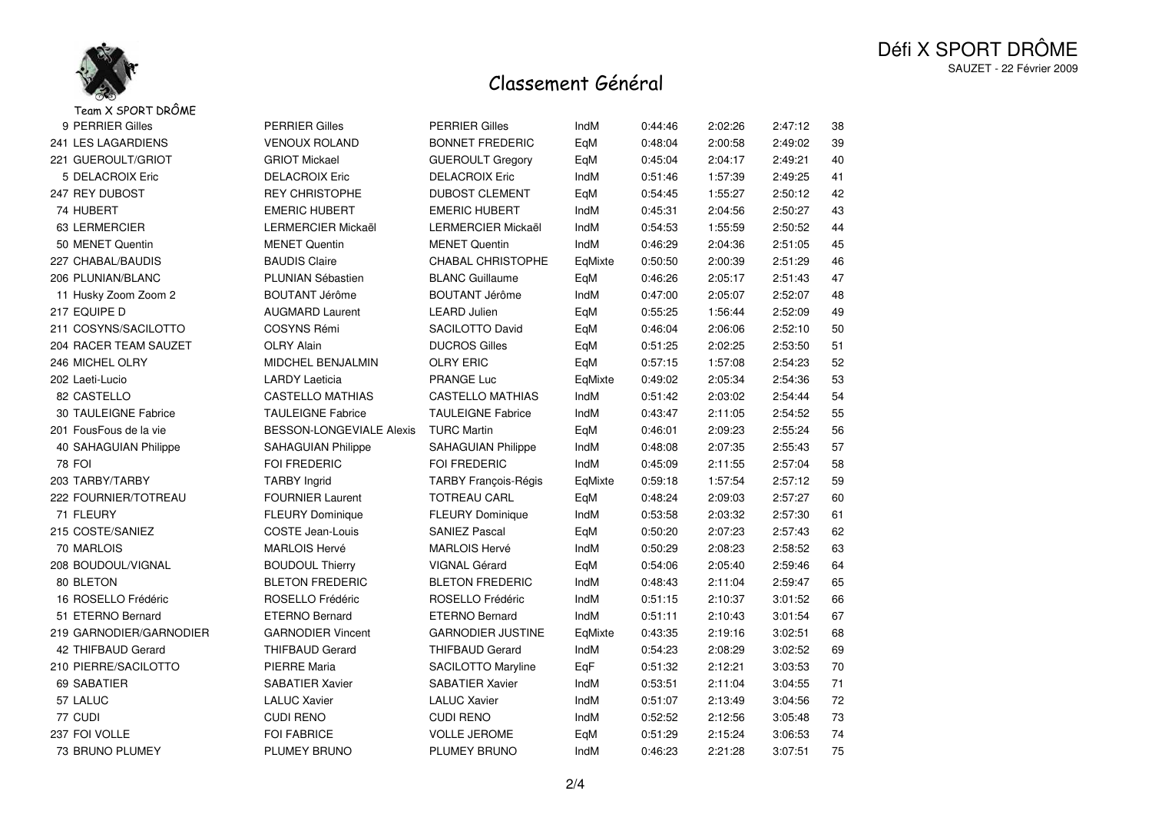

# Classement Général

| Team X SPORT DRÔME      |                           |                             |         |         |         |         |        |
|-------------------------|---------------------------|-----------------------------|---------|---------|---------|---------|--------|
| 9 PERRIER Gilles        | <b>PERRIER Gilles</b>     | <b>PERRIER Gilles</b>       | IndM    | 0:44:46 | 2:02:26 | 2:47:12 | 38     |
| 241 LES LAGARDIENS      | <b>VENOUX ROLAND</b>      | <b>BONNET FREDERIC</b>      | EqM     | 0:48:04 | 2:00:58 | 2:49:02 | 39     |
| 221 GUEROULT/GRIOT      | <b>GRIOT Mickael</b>      | <b>GUEROULT Gregory</b>     | EqM     | 0:45:04 | 2:04:17 | 2:49:21 | 40     |
| 5 DELACROIX Eric        | <b>DELACROIX Eric</b>     | <b>DELACROIX Eric</b>       | IndM    | 0:51:46 | 1:57:39 | 2:49:25 | 41     |
| 247 REY DUBOST          | <b>REY CHRISTOPHE</b>     | <b>DUBOST CLEMENT</b>       | EqM     | 0:54:45 | 1:55:27 | 2:50:12 | 42     |
| 74 HUBERT               | <b>EMERIC HUBERT</b>      | <b>EMERIC HUBERT</b>        | IndM    | 0:45:31 | 2:04:56 | 2:50:27 | 43     |
| 63 LERMERCIER           | LERMERCIER Mickaël        | LERMERCIER Mickaël          | IndM    | 0:54:53 | 1:55:59 | 2:50:52 | 44     |
| 50 MENET Quentin        | <b>MENET Quentin</b>      | <b>MENET Quentin</b>        | IndM    | 0:46:29 | 2:04:36 | 2:51:05 | 45     |
| 227 CHABAL/BAUDIS       | <b>BAUDIS Claire</b>      | CHABAL CHRISTOPHE           | EqMixte | 0:50:50 | 2:00:39 | 2:51:29 | 46     |
| 206 PLUNIAN/BLANC       | PLUNIAN Sébastien         | <b>BLANC Guillaume</b>      | EqM     | 0:46:26 | 2:05:17 | 2:51:43 | 47     |
| 11 Husky Zoom Zoom 2    | <b>BOUTANT Jérôme</b>     | <b>BOUTANT Jérôme</b>       | IndM    | 0:47:00 | 2:05:07 | 2:52:07 | 48     |
| 217 EQUIPE D            | <b>AUGMARD Laurent</b>    | <b>LEARD Julien</b>         | EqM     | 0:55:25 | 1:56:44 | 2:52:09 | 49     |
| 211 COSYNS/SACILOTTO    | <b>COSYNS Rémi</b>        | SACILOTTO David             | EqM     | 0:46:04 | 2:06:06 | 2:52:10 | 50     |
| 204 RACER TEAM SAUZET   | <b>OLRY Alain</b>         | <b>DUCROS Gilles</b>        | EqM     | 0:51:25 | 2:02:25 | 2:53:50 | 51     |
| 246 MICHEL OLRY         | <b>MIDCHEL BENJALMIN</b>  | <b>OLRY ERIC</b>            | EqM     | 0:57:15 | 1:57:08 | 2:54:23 | 52     |
| 202 Laeti-Lucio         | <b>LARDY Laeticia</b>     | PRANGE Luc                  | EqMixte | 0:49:02 | 2:05:34 | 2:54:36 | 53     |
| 82 CASTELLO             | <b>CASTELLO MATHIAS</b>   | <b>CASTELLO MATHIAS</b>     | IndM    | 0:51:42 | 2:03:02 | 2:54:44 | 54     |
| 30 TAULEIGNE Fabrice    | <b>TAULEIGNE Fabrice</b>  | <b>TAULEIGNE Fabrice</b>    | IndM    | 0:43:47 | 2:11:05 | 2:54:52 | 55     |
| 201 FousFous de la vie  | BESSON-LONGEVIALE Alexis  | <b>TURC Martin</b>          | EqM     | 0:46:01 | 2:09:23 | 2:55:24 | 56     |
| 40 SAHAGUIAN Philippe   | <b>SAHAGUIAN Philippe</b> | <b>SAHAGUIAN Philippe</b>   | IndM    | 0:48:08 | 2:07:35 | 2:55:43 | 57     |
| <b>78 FOI</b>           | FOI FREDERIC              | FOI FREDERIC                | IndM    | 0:45:09 | 2:11:55 | 2:57:04 | 58     |
| 203 TARBY/TARBY         | <b>TARBY Ingrid</b>       | <b>TARBY François-Régis</b> | EqMixte | 0:59:18 | 1:57:54 | 2:57:12 | 59     |
| 222 FOURNIER/TOTREAU    | <b>FOURNIER Laurent</b>   | <b>TOTREAU CARL</b>         | EqM     | 0:48:24 | 2:09:03 | 2:57:27 | 60     |
| 71 FLEURY               | <b>FLEURY Dominique</b>   | <b>FLEURY Dominique</b>     | IndM    | 0:53:58 | 2:03:32 | 2:57:30 | 61     |
| 215 COSTE/SANIEZ        | <b>COSTE Jean-Louis</b>   | <b>SANIEZ Pascal</b>        | EqM     | 0:50:20 | 2:07:23 | 2:57:43 | 62     |
| 70 MARLOIS              | <b>MARLOIS Hervé</b>      | <b>MARLOIS Hervé</b>        | IndM    | 0:50:29 | 2:08:23 | 2:58:52 | 63     |
| 208 BOUDOUL/VIGNAL      | <b>BOUDOUL Thierry</b>    | VIGNAL Gérard               | EqM     | 0:54:06 | 2:05:40 | 2:59:46 | 64     |
| 80 BLETON               | <b>BLETON FREDERIC</b>    | <b>BLETON FREDERIC</b>      | IndM    | 0:48:43 | 2:11:04 | 2:59:47 | 65     |
| 16 ROSELLO Frédéric     | ROSELLO Frédéric          | ROSELLO Frédéric            | IndM    | 0:51:15 | 2:10:37 | 3:01:52 | 66     |
| 51 ETERNO Bernard       | <b>ETERNO Bernard</b>     | <b>ETERNO Bernard</b>       | IndM    | 0:51:11 | 2:10:43 | 3:01:54 | 67     |
| 219 GARNODIER/GARNODIER | <b>GARNODIER Vincent</b>  | <b>GARNODIER JUSTINE</b>    | EqMixte | 0:43:35 | 2:19:16 | 3:02:51 | 68     |
| 42 THIFBAUD Gerard      | <b>THIFBAUD Gerard</b>    | <b>THIFBAUD Gerard</b>      | IndM    | 0:54:23 | 2:08:29 | 3:02:52 | 69     |
| 210 PIERRE/SACILOTTO    | <b>PIERRE Maria</b>       | <b>SACILOTTO Maryline</b>   | EqF     | 0:51:32 | 2:12:21 | 3:03:53 | $70\,$ |
| 69 SABATIER             | <b>SABATIER Xavier</b>    | <b>SABATIER Xavier</b>      | IndM    | 0:53:51 | 2:11:04 | 3:04:55 | $71$   |
| 57 LALUC                | <b>LALUC Xavier</b>       | <b>LALUC Xavier</b>         | IndM    | 0:51:07 | 2:13:49 | 3:04:56 | 72     |
| 77 CUDI                 | <b>CUDI RENO</b>          | <b>CUDI RENO</b>            | IndM    | 0:52:52 | 2:12:56 | 3:05:48 | $73\,$ |
| 237 FOI VOLLE           | <b>FOI FABRICE</b>        | <b>VOLLE JEROME</b>         | EqM     | 0:51:29 | 2:15:24 | 3:06:53 | 74     |
| 73 BRUNO PLUMEY         | PLUMEY BRUNO              | PLUMEY BRUNO                | IndM    | 0:46:23 | 2:21:28 | 3:07:51 | 75     |
|                         |                           |                             |         |         |         |         |        |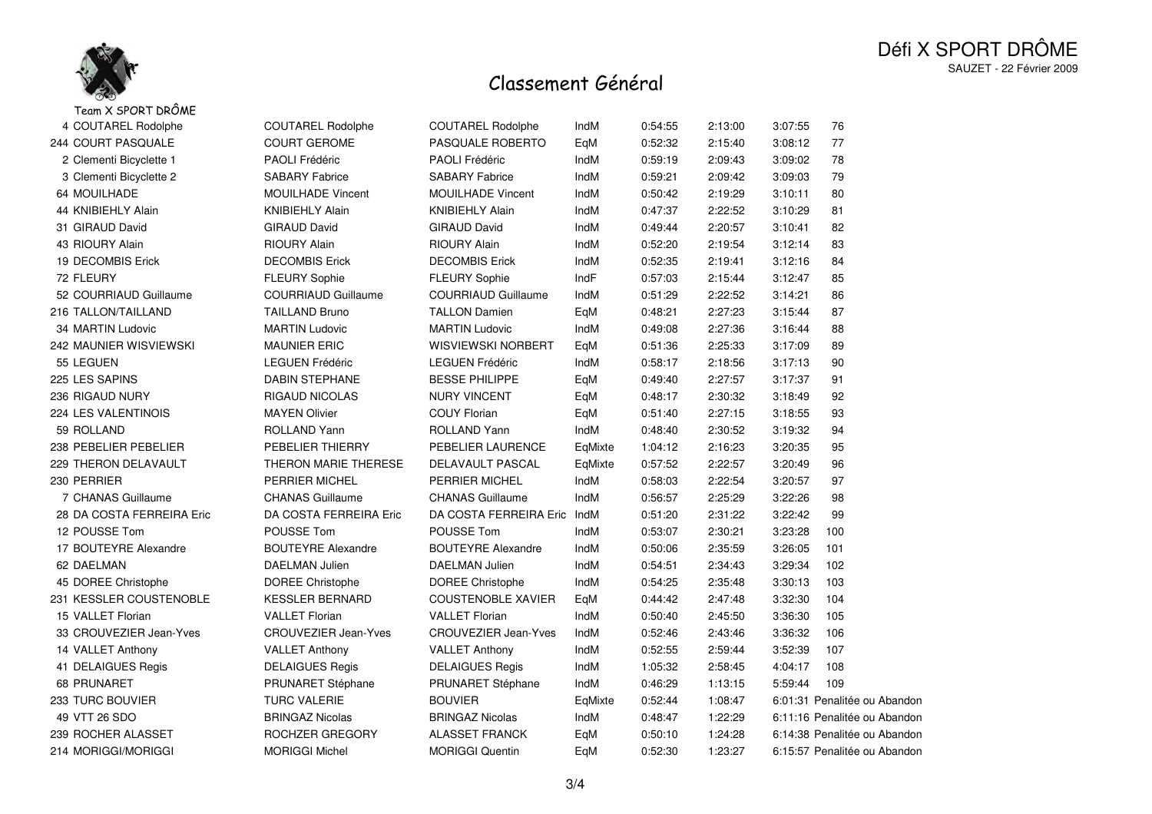

## Classement Général

| Team X SPORT DRÔME          |                             |                             |         |         |         |         |                              |
|-----------------------------|-----------------------------|-----------------------------|---------|---------|---------|---------|------------------------------|
| 4 COUTAREL Rodolphe         | COUTAREL Rodolphe           | COUTAREL Rodolphe           | IndM    | 0:54:55 | 2:13:00 | 3:07:55 | 76                           |
| 244 COURT PASQUALE          | <b>COURT GEROME</b>         | PASQUALE ROBERTO            | EqM     | 0:52:32 | 2:15:40 | 3:08:12 | 77                           |
| 2 Clementi Bicyclette 1     | <b>PAOLI Frédéric</b>       | <b>PAOLI Frédéric</b>       | IndM    | 0:59:19 | 2:09:43 | 3:09:02 | 78                           |
| 3 Clementi Bicyclette 2     | <b>SABARY Fabrice</b>       | <b>SABARY Fabrice</b>       | IndM    | 0:59:21 | 2:09:42 | 3:09:03 | 79                           |
| 64 MOUILHADE                | <b>MOUILHADE Vincent</b>    | <b>MOUILHADE Vincent</b>    | IndM    | 0:50:42 | 2:19:29 | 3:10:11 | 80                           |
| 44 KNIBIEHLY Alain          | <b>KNIBIEHLY Alain</b>      | <b>KNIBIEHLY Alain</b>      | IndM    | 0:47:37 | 2:22:52 | 3:10:29 | 81                           |
| 31 GIRAUD David             | <b>GIRAUD David</b>         | <b>GIRAUD David</b>         | IndM    | 0:49:44 | 2:20:57 | 3:10:41 | 82                           |
| 43 RIOURY Alain             | <b>RIOURY Alain</b>         | <b>RIOURY Alain</b>         | IndM    | 0:52:20 | 2:19:54 | 3:12:14 | 83                           |
| 19 DECOMBIS Erick           | <b>DECOMBIS Erick</b>       | <b>DECOMBIS Erick</b>       | IndM    | 0:52:35 | 2:19:41 | 3:12:16 | 84                           |
| 72 FLEURY                   | <b>FLEURY Sophie</b>        | <b>FLEURY Sophie</b>        | IndF    | 0:57:03 | 2:15:44 | 3:12:47 | 85                           |
| 52 COURRIAUD Guillaume      | <b>COURRIAUD Guillaume</b>  | <b>COURRIAUD Guillaume</b>  | IndM    | 0:51:29 | 2:22:52 | 3:14:21 | 86                           |
| 216 TALLON/TAILLAND         | <b>TAILLAND Bruno</b>       | <b>TALLON Damien</b>        | EqM     | 0:48:21 | 2:27:23 | 3:15:44 | 87                           |
| 34 MARTIN Ludovic           | <b>MARTIN Ludovic</b>       | <b>MARTIN Ludovic</b>       | IndM    | 0:49:08 | 2:27:36 | 3:16:44 | 88                           |
| 242 MAUNIER WISVIEWSKI      | <b>MAUNIER ERIC</b>         | <b>WISVIEWSKI NORBERT</b>   | EqM     | 0:51:36 | 2:25:33 | 3:17:09 | 89                           |
| 55 LEGUEN                   | <b>LEGUEN Frédéric</b>      | <b>LEGUEN Frédéric</b>      | IndM    | 0:58:17 | 2:18:56 | 3:17:13 | 90                           |
| 225 LES SAPINS              | <b>DABIN STEPHANE</b>       | <b>BESSE PHILIPPE</b>       | EqM     | 0:49:40 | 2:27:57 | 3:17:37 | 91                           |
| 236 RIGAUD NURY             | <b>RIGAUD NICOLAS</b>       | <b>NURY VINCENT</b>         | EqM     | 0:48:17 | 2:30:32 | 3:18:49 | 92                           |
| 224 LES VALENTINOIS         | <b>MAYEN Olivier</b>        | <b>COUY Florian</b>         | EqM     | 0:51:40 | 2:27:15 | 3:18:55 | 93                           |
| 59 ROLLAND                  | <b>ROLLAND Yann</b>         | ROLLAND Yann                | IndM    | 0:48:40 | 2:30:52 | 3:19:32 | 94                           |
| 238 PEBELIER PEBELIER       | PEBELIER THIERRY            | PEBELIER LAURENCE           | EqMixte | 1:04:12 | 2:16:23 | 3:20:35 | 95                           |
| <b>229 THERON DELAVAULT</b> | THERON MARIE THERESE        | DELAVAULT PASCAL            | EqMixte | 0:57:52 | 2:22:57 | 3:20:49 | 96                           |
| 230 PERRIER                 | PERRIER MICHEL              | PERRIER MICHEL              | IndM    | 0:58:03 | 2:22:54 | 3:20:57 | 97                           |
| 7 CHANAS Guillaume          | <b>CHANAS Guillaume</b>     | <b>CHANAS Guillaume</b>     | IndM    | 0:56:57 | 2:25:29 | 3:22:26 | 98                           |
| 28 DA COSTA FERREIRA Eric   | DA COSTA FERREIRA Eric      | DA COSTA FERREIRA Eric      | IndM    | 0:51:20 | 2:31:22 | 3:22:42 | 99                           |
| 12 POUSSE Tom               | POUSSE Tom                  | POUSSE Tom                  | IndM    | 0:53:07 | 2:30:21 | 3:23:28 | 100                          |
| 17 BOUTEYRE Alexandre       | <b>BOUTEYRE Alexandre</b>   | <b>BOUTEYRE Alexandre</b>   | IndM    | 0:50:06 | 2:35:59 | 3:26:05 | 101                          |
| 62 DAELMAN                  | <b>DAELMAN Julien</b>       | <b>DAELMAN Julien</b>       | IndM    | 0:54:51 | 2:34:43 | 3:29:34 | 102                          |
| 45 DOREE Christophe         | <b>DOREE Christophe</b>     | <b>DOREE Christophe</b>     | IndM    | 0:54:25 | 2:35:48 | 3:30:13 | 103                          |
| 231 KESSLER COUSTENOBLE     | <b>KESSLER BERNARD</b>      | <b>COUSTENOBLE XAVIER</b>   | EqM     | 0:44:42 | 2:47:48 | 3:32:30 | 104                          |
| 15 VALLET Florian           | <b>VALLET Florian</b>       | <b>VALLET Florian</b>       | IndM    | 0:50:40 | 2:45:50 | 3:36:30 | 105                          |
| 33 CROUVEZIER Jean-Yves     | <b>CROUVEZIER Jean-Yves</b> | <b>CROUVEZIER Jean-Yves</b> | IndM    | 0:52:46 | 2:43:46 | 3:36:32 | 106                          |
| 14 VALLET Anthony           | <b>VALLET Anthony</b>       | <b>VALLET Anthony</b>       | IndM    | 0:52:55 | 2:59:44 | 3:52:39 | 107                          |
| 41 DELAIGUES Regis          | <b>DELAIGUES Regis</b>      | <b>DELAIGUES Regis</b>      | IndM    | 1:05:32 | 2:58:45 | 4:04:17 | 108                          |
| 68 PRUNARET                 | <b>PRUNARET Stéphane</b>    | <b>PRUNARET Stéphane</b>    | IndM    | 0:46:29 | 1:13:15 | 5:59:44 | 109                          |
| 233 TURC BOUVIER            | <b>TURC VALERIE</b>         | <b>BOUVIER</b>              | EqMixte | 0:52:44 | 1:08:47 |         | 6:01:31 Penalitée ou Abandon |
| 49 VTT 26 SDO               | <b>BRINGAZ Nicolas</b>      | <b>BRINGAZ Nicolas</b>      | IndM    | 0:48:47 | 1:22:29 |         | 6:11:16 Penalitée ou Abandon |
| 239 ROCHER ALASSET          | ROCHZER GREGORY             | <b>ALASSET FRANCK</b>       | EqM     | 0:50:10 | 1:24:28 |         | 6:14:38 Penalitée ou Abandon |
| 214 MORIGGI/MORIGGI         | <b>MORIGGI Michel</b>       | <b>MORIGGI Quentin</b>      | EqM     | 0:52:30 | 1:23:27 |         | 6:15:57 Penalitée ou Abandon |